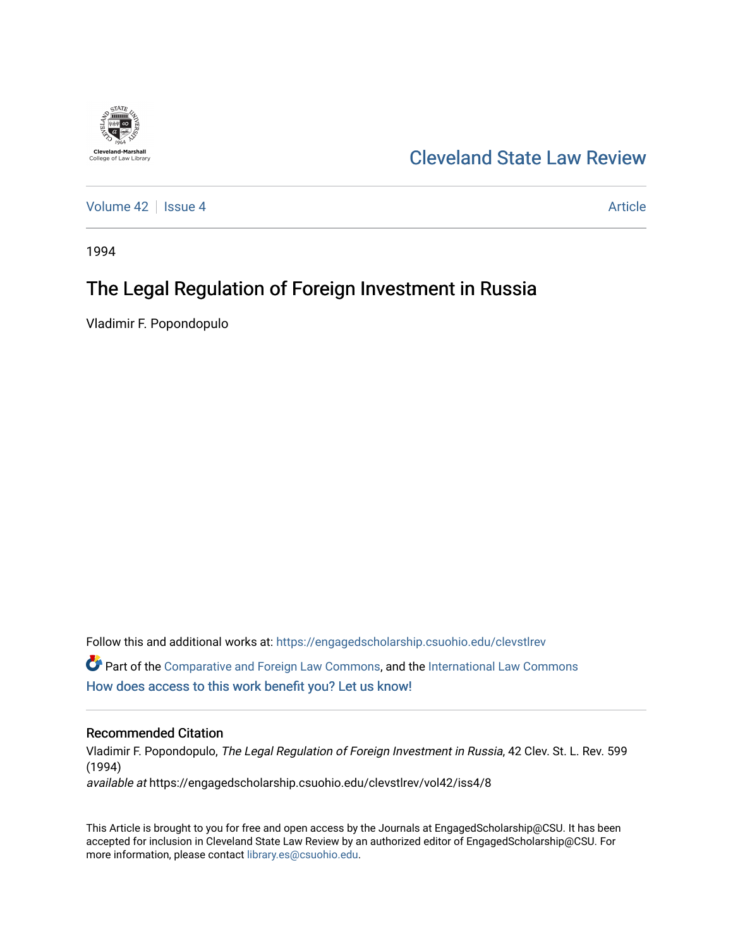

# [Cleveland State Law Review](https://engagedscholarship.csuohio.edu/clevstlrev)

[Volume 42](https://engagedscholarship.csuohio.edu/clevstlrev/vol42) | [Issue 4](https://engagedscholarship.csuohio.edu/clevstlrev/vol42/iss4) Article

1994

# The Legal Regulation of Foreign Investment in Russia

Vladimir F. Popondopulo

Follow this and additional works at: [https://engagedscholarship.csuohio.edu/clevstlrev](https://engagedscholarship.csuohio.edu/clevstlrev?utm_source=engagedscholarship.csuohio.edu%2Fclevstlrev%2Fvol42%2Fiss4%2F8&utm_medium=PDF&utm_campaign=PDFCoverPages)  $\bullet$  Part of the [Comparative and Foreign Law Commons,](http://network.bepress.com/hgg/discipline/836?utm_source=engagedscholarship.csuohio.edu%2Fclevstlrev%2Fvol42%2Fiss4%2F8&utm_medium=PDF&utm_campaign=PDFCoverPages) and the [International Law Commons](http://network.bepress.com/hgg/discipline/609?utm_source=engagedscholarship.csuohio.edu%2Fclevstlrev%2Fvol42%2Fiss4%2F8&utm_medium=PDF&utm_campaign=PDFCoverPages) [How does access to this work benefit you? Let us know!](http://library.csuohio.edu/engaged/)

### Recommended Citation

Vladimir F. Popondopulo, The Legal Regulation of Foreign Investment in Russia, 42 Clev. St. L. Rev. 599 (1994) available at https://engagedscholarship.csuohio.edu/clevstlrev/vol42/iss4/8

This Article is brought to you for free and open access by the Journals at EngagedScholarship@CSU. It has been accepted for inclusion in Cleveland State Law Review by an authorized editor of EngagedScholarship@CSU. For more information, please contact [library.es@csuohio.edu](mailto:library.es@csuohio.edu).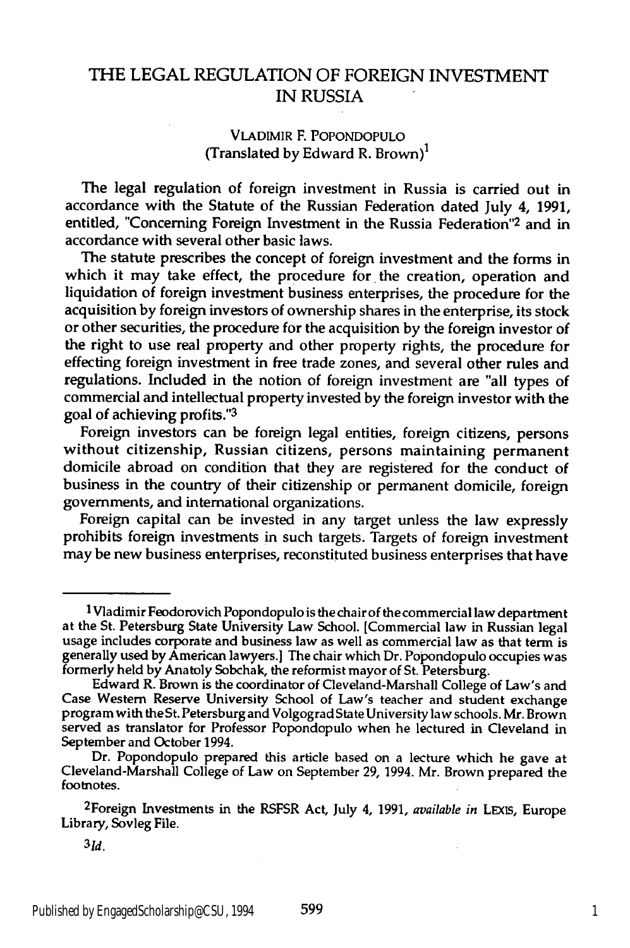### THE **LEGAL** REGULATION OF FOREIGN INVESTMENT IN RUSSIA

#### VLADIMIR F. POPONDOPULO (Translated by Edward R. Brown)<sup>1</sup>

The legal regulation of foreign investment in Russia is carried out in accordance with the Statute of the Russian Federation dated July 4, 1991, entitled, "Concerning Foreign Investment in the Russia Federation"<sup>2</sup> and in accordance with several other basic laws.

The statute prescribes the concept of foreign investment and the forms in which it may take effect, the procedure for the creation, operation and liquidation of foreign investment business enterprises, the procedure for the acquisition by foreign investors of ownership shares in the enterprise, its stock or other securities, the procedure for the acquisition by the foreign investor of the right to use real property and other property rights, the procedure for effecting foreign investment in free trade zones, and several other rules and regulations. Included in the notion of foreign investment are "all types of commercial and intellectual property invested by the foreign investor with the goal of achieving profits."<sup>3</sup>

Foreign investors can be foreign legal entities, foreign citizens, persons without citizenship, Russian citizens, persons maintaining permanent domicile abroad on condition that they are registered for the conduct of business in the country of their citizenship or permanent domicile, foreign governments, and international organizations.

Foreign capital can be invested in any target unless the law expressly prohibits foreign investments in such targets. Targets of foreign investment may be new business enterprises, reconstituted business enterprises that have

2Foreign Investments in the RSFSR Act, July 4, 1991, *available in* **LEXIS,** Europe Library, Sovleg File.

<sup>1</sup>Vladimir Feodorovich Popondopulo is the chair of the commercial law department at the St. Petersburg State University Law School. [Commercial law in Russian legal usage includes corporate and business law as well as commercial law as that term is generally used by American lawyers.] The chair which Dr. Popondopulo occupies was formerly held by Anatoly Sobchak, the reformist mayor of St. Petersburg. Edward R. Brown is the coordinator of Cleveland-Marshall College of Law's and

Case Western Reserve University School of Law's teacher and student exchange program with the St. Petersburg and Volgograd State University law schools. Mr. Brown served as translator for Professor Popondopulo when he lectured in Cleveland in September and October 1994.

Dr. Popondopulo prepared this article based on a lecture which he gave at Cleveland-Marshall College of Law on September 29, 1994. Mr. Brown prepared the footnotes.

*<sup>3</sup> Id.*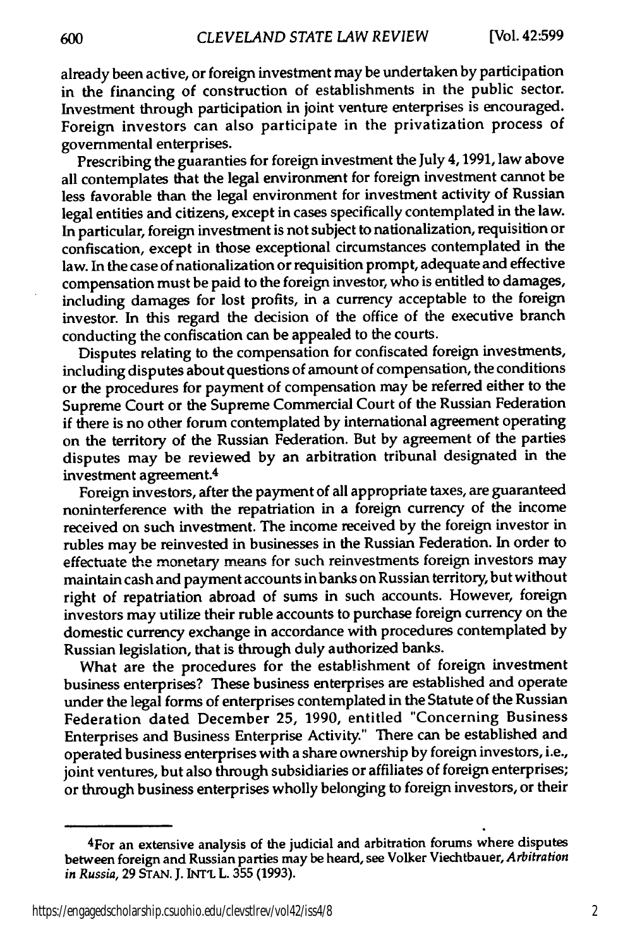600

already been active, or foreign investment may be undertaken **by** participation in the financing of construction of establishments in the public sector. Investment through participation in joint venture enterprises is encouraged. Foreign investors can also participate in the privatization process of governmental enterprises.

Prescribing the guaranties for foreign investment the July 4,1991, law above all contemplates that the legal environment for foreign investment cannot be less favorable than the legal environment for investment activity of Russian legal entities and citizens, except in cases specifically contemplated in the law. In particular, foreign investment is not subject to nationalization, requisition or confiscation, except in those exceptional circumstances contemplated in the law. In the case of nationalization or requisition prompt, adequate and effective compensation must be paid to the foreign investor, who is entitled to damages, including damages for lost profits, in a currency acceptable to the foreign investor. In this regard the decision of the office of the executive branch conducting the confiscation can be appealed to the courts.

Disputes relating to the compensation for confiscated foreign investments, including disputes about questions of amount of compensation, the conditions or the procedures for payment of compensation may be referred either to the Supreme Court or the Supreme Commercial Court of the Russian Federation if there is no other forum contemplated **by** international agreement operating on the territory of the Russian Federation. But **by** agreement of the parties disputes may be reviewed **by** an arbitration tribunal designated in the investment agreement.4

Foreign investors, after the payment of all appropriate taxes, are guaranteed noninterference with the repatriation in a foreign currency of the income received on such investment. The income received **by** the foreign investor in rubles may be reinvested in businesses in the Russian Federation. In order to effectuate the monetary means for such reinvestments foreign investors may maintain cash and payment accounts in banks on Russian territory, but without right of repatriation abroad of sums in such accounts. However, foreign investors may utilize their ruble accounts to purchase foreign currency on the domestic currency exchange in accordance with procedures contemplated **by** Russian legislation, that is through duly authorized banks.

What are the procedures for the establishment of foreign investment business enterprises? These business enterprises are established and operate under the legal forms of enterprises contemplated in the Statute of the Russian Federation dated December **25, 1990,** entitled "Concerning Business Enterprises and Business Enterprise Activity." There can be established and operated business enterprises with a share ownership **by** foreign investors, i.e., joint ventures, but also through subsidiaries or affiliates of foreign enterprises; or through business enterprises wholly belonging to foreign investors, or their

<sup>4</sup>For an extensive analysis of the judicial and arbitration forums where disputes between foreign and Russian parties may be heard, see Volker Viechtbauer, *Arbitration in Russia,* **29 STAN. J. INT'L** L. **355 (1993).**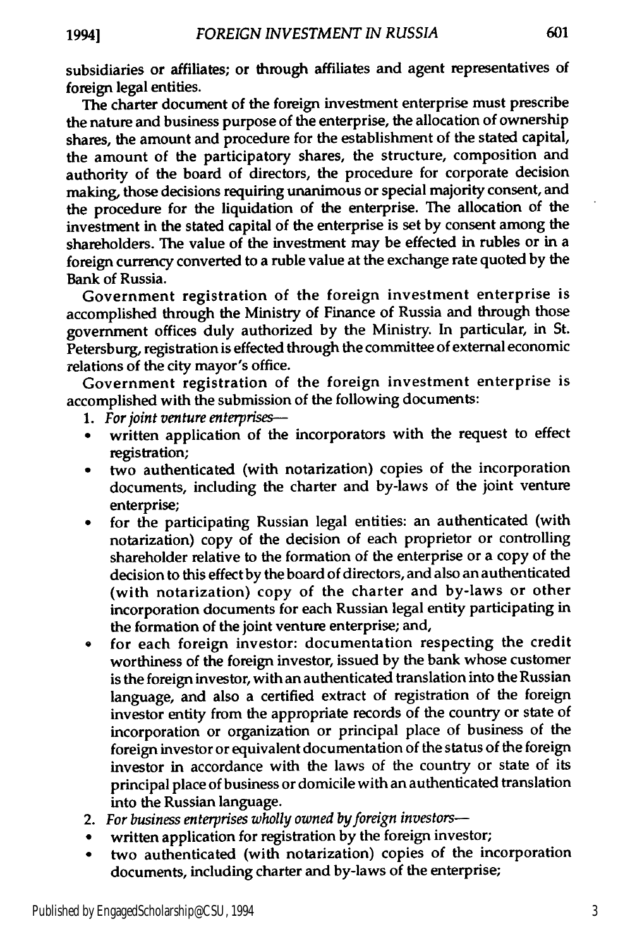subsidiaries or affiliates; or through affiliates and agent representatives of foreign legal entities.

The charter document of the foreign investment enterprise must prescribe the nature and business purpose of the enterprise, the allocation of ownership shares, the amount and procedure for the establishment of the stated capital, the amount of the participatory shares, the structure, composition and authority of the board of directors, the procedure for corporate decision making, those decisions requiring unanimous or special majority consent, and the procedure for the liquidation of the enterprise. The allocation of the investment in the stated capital of the enterprise is set **by** consent among the shareholders. The value of the investment may be effected in rubles or in a foreign currency converted to a ruble value at the exchange rate quoted **by** the Bank of Russia.

Government registration of the foreign investment enterprise is accomplished through the Ministry of Finance of Russia and through those government offices duly authorized **by** the Ministry. In particular, in St. Petersburg, registration is effected through the committee of external economic relations of the city mayor's office.

Government registration of the foreign investment enterprise is accomplished with the submission of the following documents:

- **1.** *For joint venture enterprises-*
- written application of the incorporators with the request to effect registration;
- two authenticated (with notarization) copies of the incorporation documents, including the charter and by-laws of the joint venture enterprise;
- for the participating Russian legal entities: an authenticated (with notarization) copy of the decision of each proprietor or controlling shareholder relative to the formation of the enterprise or a copy of the decision to this effect by the board of directors, and also an authenticated (with notarization) copy of the charter and by-laws or other incorporation documents for each Russian legal entity participating in the formation of the joint venture enterprise; and,
- for each foreign investor: documentation respecting the credit worthiness of the foreign investor, issued **by** the bank whose customer is the foreign investor, with an authenticated translation into the Russian language, and also a certified extract of registration of the foreign investor entity from the appropriate records of the country or state of incorporation or organization or principal place of business of the foreign investor or equivalent documentation of the status of the foreign investor in accordance with the laws of the country or state of its principal place of business or domicile with an authenticated translation into the Russian language.
- 2. *For business enterprises wholly owned by foreign investors-*
- written application for registration by the foreign investor;
- two authenticated (with notarization) copies of the incorporation documents, including charter and by-laws of the enterprise;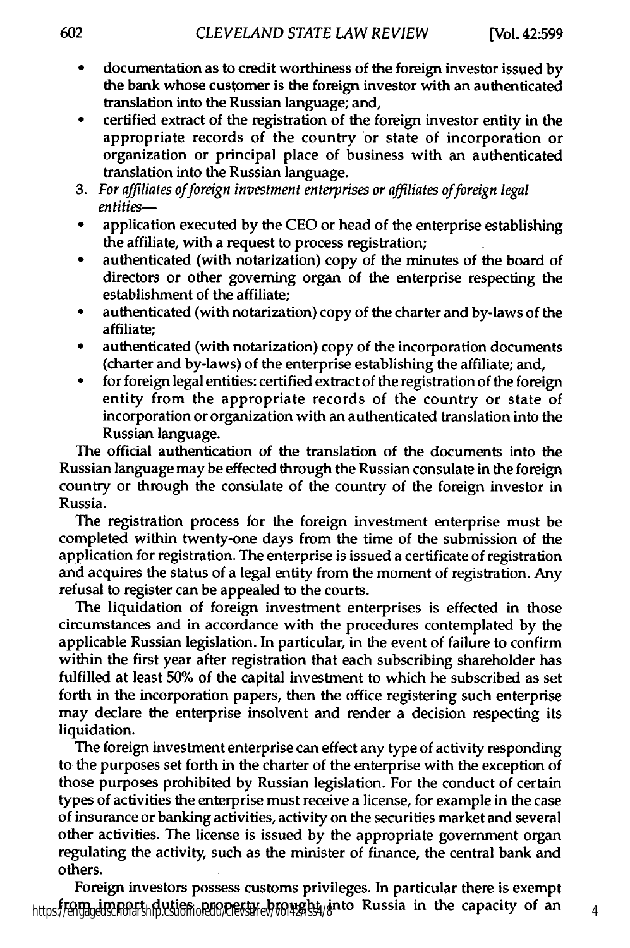- **"** documentation as to credit worthiness of the foreign investor issued **by** the bank whose customer is the foreign investor with an authenticated translation into the Russian language; and,
- certified extract of the registration of the foreign investor entity in the appropriate records of the country or state of incorporation or organization or principal place of business with an authenticated translation into the Russian language.
- 3. For affiliates of foreign investment enterprises or affiliates of foreign legal *entities-*
- application executed by the CEO or head of the enterprise establishing the affiliate, with a request to process registration;
- authenticated (with notarization) copy of the minutes of the board of directors or other governing organ of the enterprise respecting the establishment of the affiliate;
- authenticated (with notarization) copy of the charter and by-laws of the affiliate;
- authenticated (with notarization) copy of the incorporation documents (charter and by-laws) of the enterprise establishing the affiliate; and,
- **"** for foreign legal entities: certified extract of the registration of the foreign entity from the appropriate records of the country or state of incorporation or organization with an authenticated translation into the Russian language.

The official authentication of the translation of the documents into the Russian language may be effected through the Russian consulate in the foreign country or through the consulate of the country of the foreign investor in Russia.

The registration process for the foreign investment enterprise must be completed within twenty-one days from the time of the submission of the application for registration. The enterprise is issued a certificate of registration and acquires the status of a legal entity from the moment of registration. Any refusal to register can be appealed to the courts.

The liquidation of foreign investment enterprises is effected in those circumstances and in accordance with the procedures contemplated **by** the applicable Russian legislation. In particular, in the event of failure to confirm within the first year after registration that each subscribing shareholder has fulfilled at least **50%** of the capital investment to which he subscribed as set forth in the incorporation papers, then the office registering such enterprise may declare the enterprise insolvent and render a decision respecting its liquidation.

The foreign investment enterprise can effect any type of activity responding to the purposes set forth in the charter of the enterprise with the exception of those purposes prohibited **by** Russian legislation. For the conduct of certain types of activities the enterprise must receive a license, for example in the case of insurance or banking activities, activity on the securities market and several other activities. The license is issued **by** the appropriate government organ regulating the activity, such as the minister of finance, the central bank and others.

Foreign investors possess customs privileges. In particular there is exempt https://engagedscholarship.csuohio.edu/clevistlesbrought\_into Russia in the capacity of an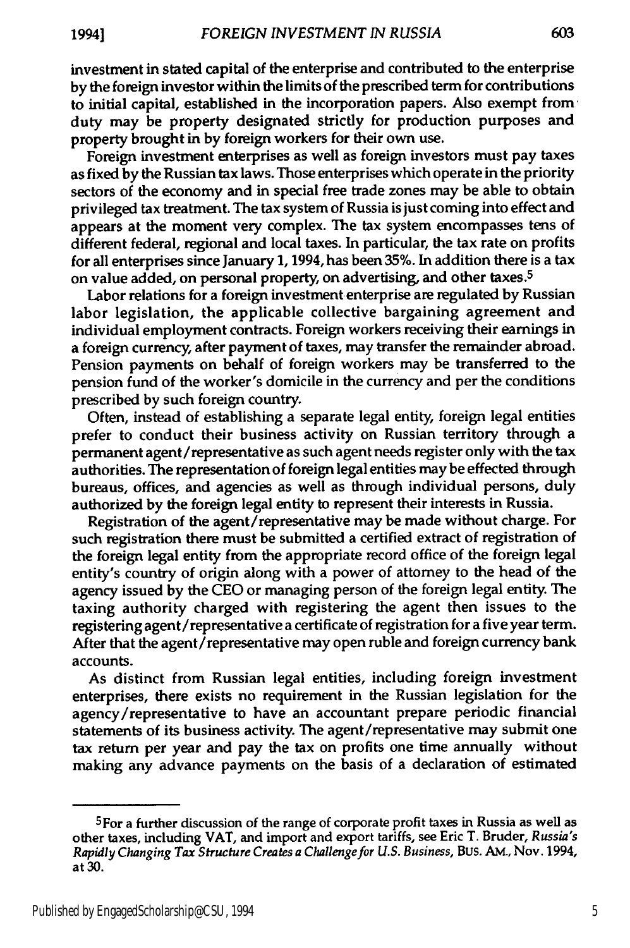investment in stated capital of the enterprise and contributed to the enterprise **by** the foreign investor within the limits of the prescribed term for contributions to initial capital, established in the incorporation papers. Also exempt from duty may be property designated strictly for production purposes and property brought in **by** foreign workers for their own use.

Foreign investment enterprises as well as foreign investors must pay taxes as fixed **by** the Russian tax laws. Those enterprises which operate in the priority sectors of the economy and in special free trade zones may be able to obtain privileged tax treatment. The tax system of Russia is just coming into effect and appears at the moment very complex. The tax system encompasses tens of different federal, regional and local taxes. In particular, the tax rate on profits for all enterprises since January 1,1994, has been **35%.** In addition there is a tax on value added, on personal property, on advertising, and other taxes.<sup>5</sup>

Labor relations for a foreign investment enterprise are regulated **by** Russian labor legislation, the applicable collective bargaining agreement and individual employment contracts. Foreign workers receiving their earnings in a foreign currency, after payment of taxes, may transfer the remainder abroad. Pension payments on behalf of foreign workers may be transferred to the pension fund of the worker's domicile in the currency and per the conditions prescribed **by** such foreign country.

Often, instead of establishing a separate legal entity, foreign legal entities prefer to conduct their business activity on Russian territory through a permanent agent/representative as such agent needs register only with the tax authorities. The representation of foreign legal entities may be effected through bureaus, offices, and agencies as well as through individual persons, duly authorized **by** the foreign legal entity to represent their interests in Russia.

Registration of the agent/representative may be made without charge. For such registration there must be submitted a certified extract of registration of the foreign legal entity from the appropriate record office of the foreign legal entity's country of origin along with a power of attorney to the head of the agency issued **by** the **CEO** or managing person of the foreign legal entity. The taxing authority charged with registering the agent then issues to the registering agent/representative a certificate of registration for a five year term. After that the agent/representative may open ruble and foreign currency bank accounts.

As distinct from Russian legal entities, including foreign investment enterprises, there exists no requirement in the Russian legislation for the agency/representative to have an accountant prepare periodic financial statements of its business activity. The agent/representative may submit one tax return per year and pay the tax on profits one time annually without making any advance payments on the basis of a declaration of estimated

<sup>5</sup>For a further discussion of the range of corporate profit taxes in Russia as **well** as other taxes, including VAT, and import and export tariffs, see Eric T. Bruder, *Russia's Rapidly Changing Tax Structure Creates a Challenge for U.S. Business,* Bus. **AM.,** Nov. 1994, at **30.**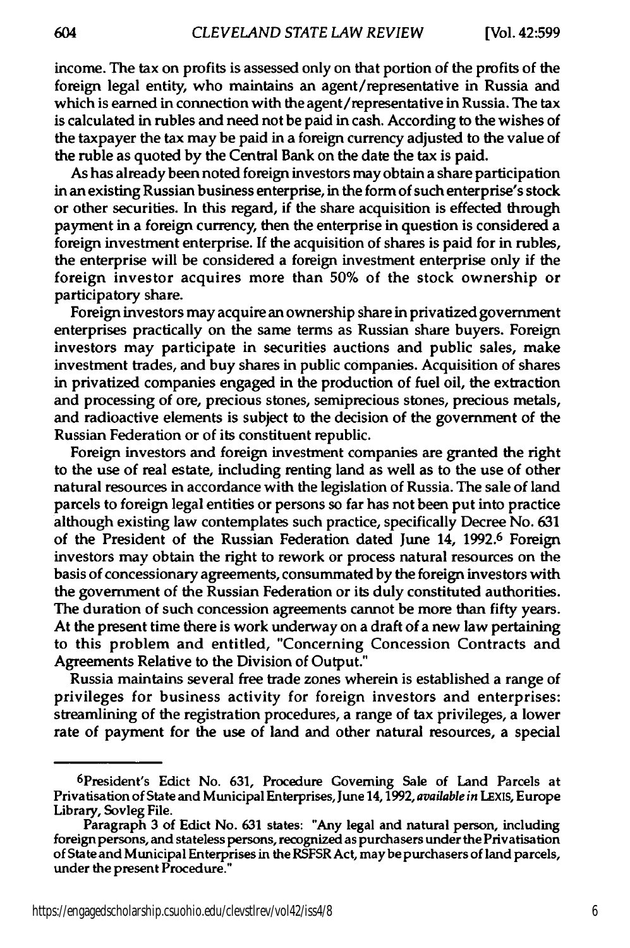income. The tax on profits is assessed only on that portion of the profits of the foreign legal entity, who maintains an agent/representative in Russia and which is earned in connection with the agent/representative in Russia. The tax is calculated in rubles and need not be paid in cash. According to the wishes of the taxpayer the tax may be paid in a foreign currency adjusted to the value of the ruble as quoted **by** the Central Bank on the date the tax is paid.

As has already been noted foreign investors may obtain a share participation in an existing Russian business enterprise, in the form of such enterprise's stock or other securities. In this regard, if the share acquisition is effected through payment in a foreign currency, then the enterprise in question is considered a foreign investment enterprise. If the acquisition of shares is paid for in rubles, the enterprise will be considered a foreign investment enterprise only if the foreign investor acquires more than **50%** of the stock ownership or participatory share.

Foreign investors may acquire an ownership share in privatized government enterprises practically on the same terms as Russian share buyers. Foreign investors may participate in securities auctions and public sales, make investment trades, and buy shares in public companies. Acquisition of shares in privatized companies engaged in the production of fuel oil, the extraction and processing of ore, precious stones, semiprecious stones, precious metals, and radioactive elements is subject to the decision of the government of the Russian Federation or of its constituent republic.

Foreign investors and foreign investment companies are granted the right to the use of real estate, including renting land as well as to the use of other natural resources in accordance with the legislation of Russia. The sale of land parcels to foreign legal entities or persons so far has not been put into practice although existing law contemplates such practice, specifically Decree No. **631** of the President of the Russian Federation dated June 14, **1992.6** Foreign investors may obtain the right to rework or process natural resources on the basis of concessionary agreements, consummated **by** the foreign investors with the government of the Russian Federation or its duly constituted authorities. The duration of such concession agreements cannot be more than fifty years. At the present time there is work underway on a draft of a new law pertaining to this problem and entitled, "Concerning Concession Contracts and Agreements Relative to the Division of Output."

Russia maintains several free trade zones wherein is established a range of privileges for business activity for foreign investors and enterprises: streamlining of the registration procedures, a range of tax privileges, a lower rate of payment for the use of land and other natural resources, a special

<sup>6</sup> President's Edict No. **631,** Procedure Governing Sale of Land Parcels at Privatisation of State and Municipal Enterprises, June 14,1992, *available in* **LEXis,** Europe Library, Sovleg File.

Paragraph **3** of Edict No. **631** states: "Any legal and natural person, including foreign persons, and stateless persons, recognized as purchasers under the Privatisation of State and Municipal Enterprises in the RSFSR Act, may bepurchasers of land parcels, under the present Procedure."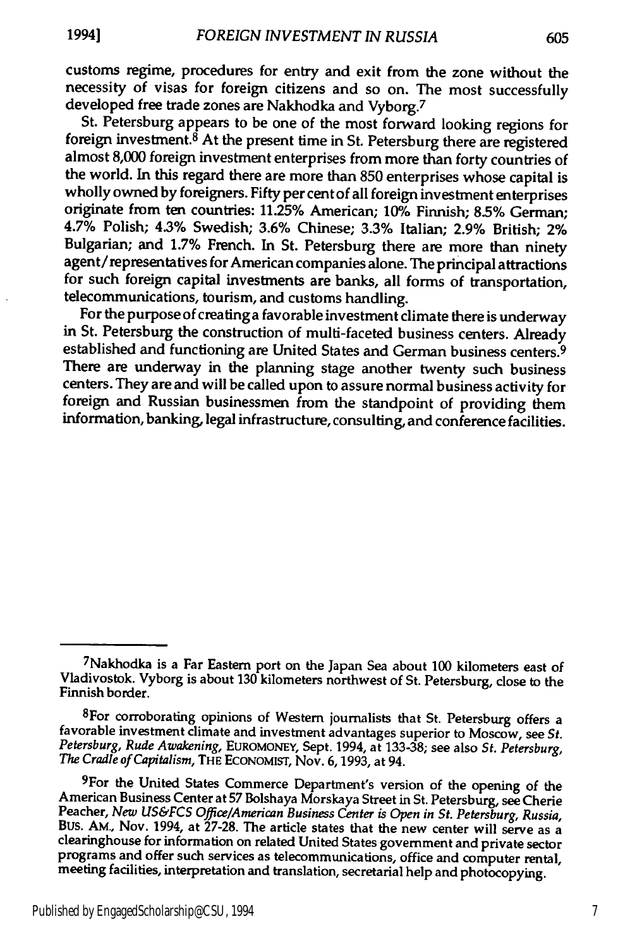customs regime, procedures for entry and exit from the zone without the necessity of visas for foreign citizens and so on. The most successfully developed free trade zones are Nakhodka and Vyborg.7

St. Petersburg appears to be one of the most forward looking regions for foreign investment. $8$  At the present time in St. Petersburg there are registered almost **8,000** foreign investment enterprises from more than forty countries of the world. In this regard there are more than **850** enterprises whose capital is wholly owned **by** foreigners. Fifty per cent of all foreign investment enterprises originate from ten countries: **11.25%** American; 10% Finnish; **8.5%** German; 4.7% Polish; 4.3% Swedish; **3.6%** Chinese; **3.3%** Italian; **2.9%** British; 2% Bulgarian; and **1.7%** French. In St. Petersburg there are more than ninety agent/representatives for American companies alone. The principal attractions for such foreign capital investments are banks, all forms of transportation, telecommunications, tourism, and customs handling.

For the purpose of creating a favorable investment climate there is underway in St. Petersburg the construction of multi-faceted business centers. Already established and functioning are United States and German business centers. <sup>9</sup> There are underway in the planning stage another twenty such business centers. They are and will be called upon to assure normal business activity for foreign and Russian businessmen from the standpoint of providing them information, banking, legal infrastructure, consulting, and conference facilities.

<sup>7</sup>Nakhodka is a Far Eastern port on the Japan Sea about **100** kilometers east of Vladivostok. Vyborg is about **130** kilometers northwest of St. Petersburg, close to the Finnish border.

<sup>&</sup>lt;sup>8</sup>For corroborating opinions of Western journalists that St. Petersburg offers a favorable investment climate and investment advantages superior to Moscow, see *St. Petersburg,* Rude *Awakening,* **EUROMONEY,** Sept. 1994, at **133-38;** see also *St. Petersburg, The* Cradle *of Capitalism,* THE **ECONOMIST,** Nov. **6,1993,** at 94.

<sup>&</sup>lt;sup>9</sup>For the United States Commerce Department's version of the opening of the American Business Center at 57 Bolshaya Morskaya Street in St. Petersburg, see Cherie<br>Peacher, New US&FCS Office/American Business Center is Open in St. Petersburg, Russia,<br>BUS. AM., Nov. 1994, at 27-28. The article states clearinghouse for information on related United States government and private sector programs and offer such services as telecommunications, office and computer rental, meeting facilities, interpretation and translation, secretarial help and photocopying.